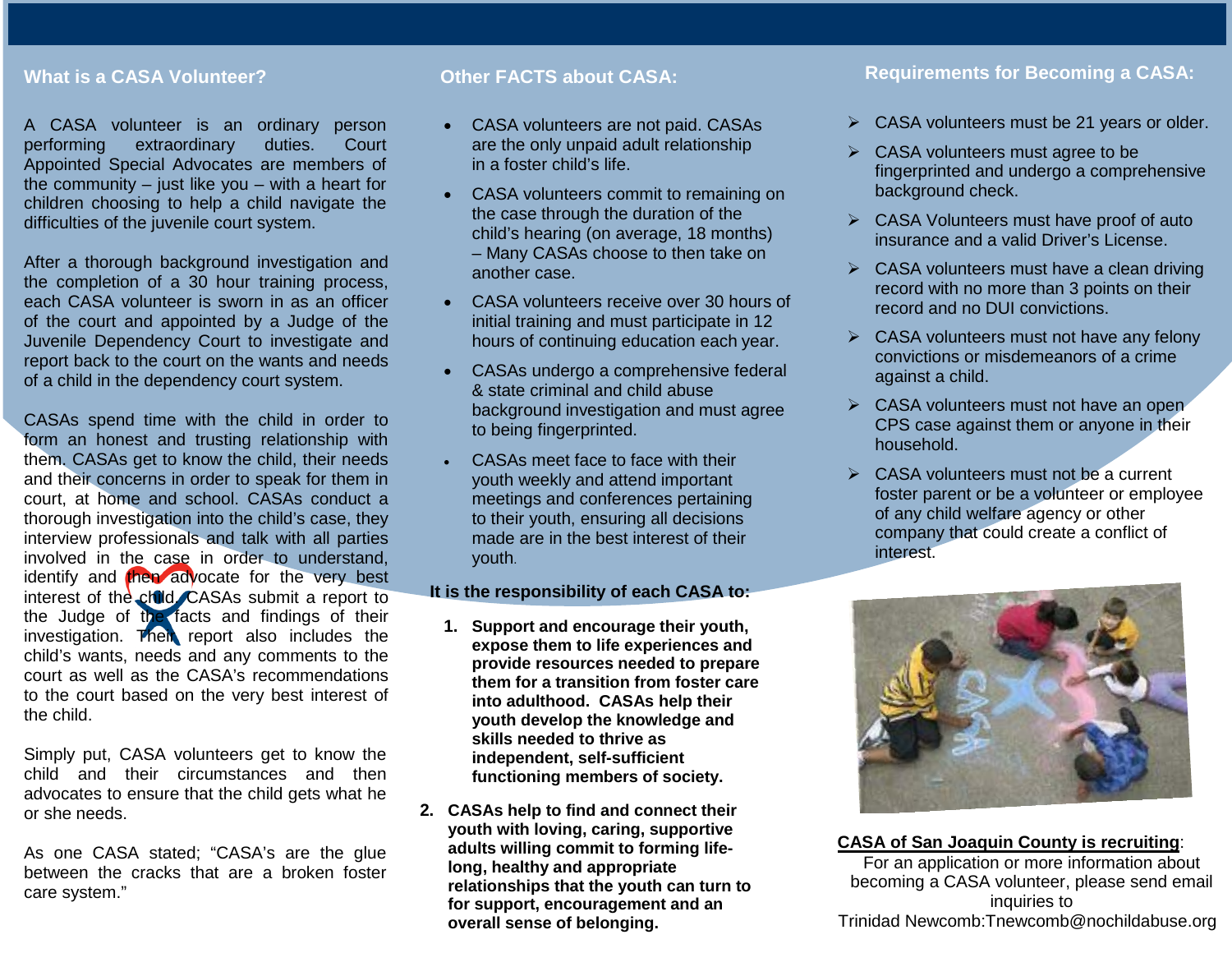## **What is a CASA Volunteer?**

A CASA volunteer is an ordinary person performing extraordinary duties. Court Appointed Special Advocates are members of the community  $-$  just like you  $-$  with a heart for children choosing to help a child navigate the difficulties of the juvenile court system.

After a thorough background investigation and the completion of a 30 hour training process, each CASA volunteer is sworn in as an officer of the court and appointed by a Judge of the Juvenile Dependency Court to investigate and report back to the court on the wants and needs of a child in the dependency court system.

CASAs spend time with the child in order to form an honest and trusting relationship with them. CASAs get to know the child, their needs and their concerns in order to speak for them in court, at home and school. CASAs conduct a thorough investigation into the child's case, they interview professionals and talk with all parties involved in the case in order to understand, identify and then advocate for the very best interest of the child. CASAs submit a report to the Judge of the facts and findings of their investigation. Their report also includes the child's wants, needs and any comments to the court as well as the CASA's recommendations to the court based on the very best interest of the child.

Simply put, CASA volunteers get to know the child and their circumstances and then advocates to ensure that the child gets what he or she needs.

As one CASA stated; "CASA's are the glue between the cracks that are a broken foster care system."

#### **Other FACTS about CASA:**

- CASA volunteers are not paid. CASAs are the only unpaid adult relationship in a foster child's life.
- CASA volunteers commit to remaining on the case through the duration of the child's hearing (on average, 18 months) – Many CASAs choose to then take on another case.
- CASA volunteers receive over 30 hours of initial training and must participate in 12 hours of continuing education each year.
- CASAs undergo a comprehensive federal & state criminal and child abuse background investigation and must agree to being fingerprinted.
- CASAs meet face to face with their youth weekly and attend important meetings and conferences pertaining to their youth, ensuring all decisions made are in the best interest of their youth.

#### **It is the responsibility of each CASA to:**

- **1. Support and encourage their youth, expose them to life experiences and provide resources needed to prepare them for a transition from foster care into adulthood. CASAs help their youth develop the knowledge and skills needed to thrive as independent, self-sufficient functioning members of society.**
- **2. CASAs help to find and connect their youth with loving, caring, supportive adults willing commit to forming lifelong, healthy and appropriate relationships that the youth can turn to for support, encouragement and an overall sense of belonging.**

## **Requirements for Becoming a CASA:**

- $\triangleright$  CASA volunteers must be 21 years or older.
- $\triangleright$  CASA volunteers must agree to be fingerprinted and undergo a comprehensive background check.
- CASA Volunteers must have proof of auto insurance and a valid Driver's License.
- $\triangleright$  CASA volunteers must have a clean driving record with no more than 3 points on their record and no DUI convictions.
- $\triangleright$  CASA volunteers must not have any felony convictions or misdemeanors of a crime against a child.
- $\triangleright$  CASA volunteers must not have an open CPS case against them or anyone in their household.
- $\triangleright$  CASA volunteers must not be a current foster parent or be a volunteer or employee of any child welfare agency or other company that could create a conflict of interest.



#### **CASA of San Joaquin County is recruiting**:

For an application or more information about becoming a CASA volunteer, please send email inquiries to Trinidad Newcomb:Tnewcomb@nochildabuse.org